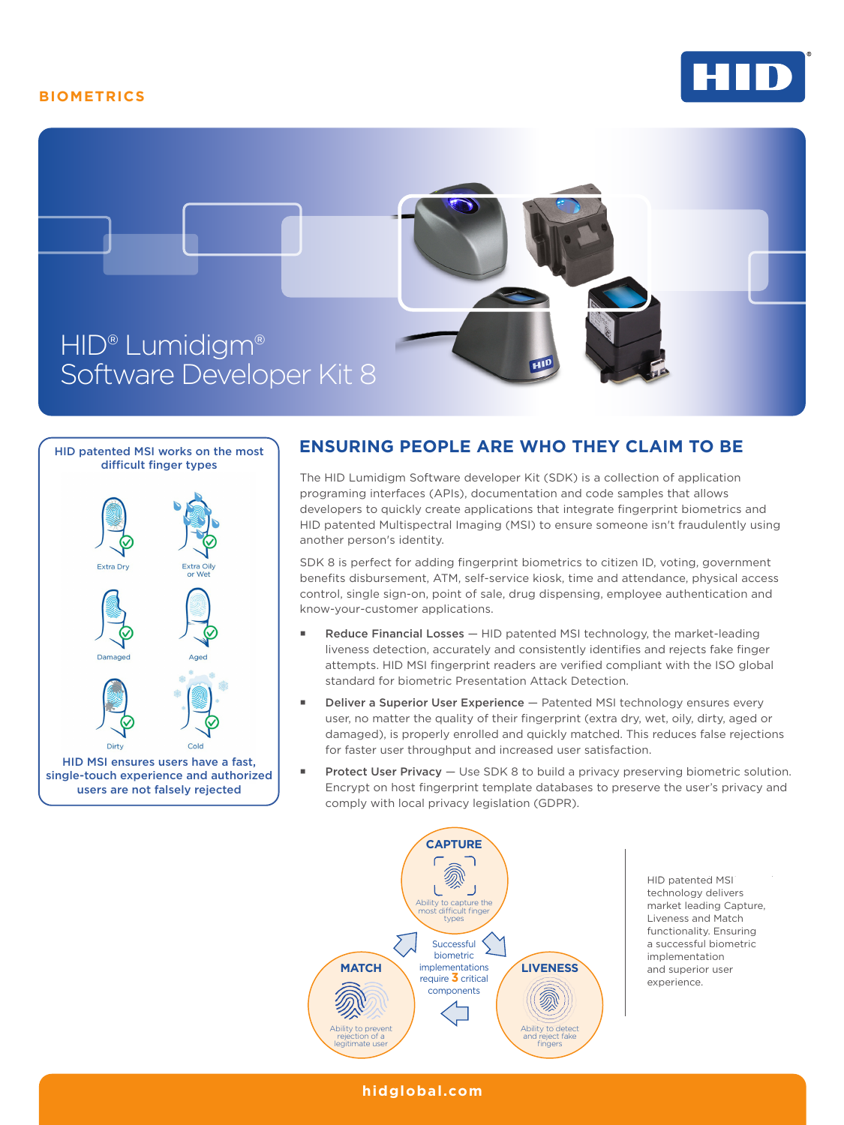## **BIOMETRICS**







## **ENSURING PEOPLE ARE WHO THEY CLAIM TO BE**

The HID Lumidigm Software developer Kit (SDK) is a collection of application programing interfaces (APIs), documentation and code samples that allows developers to quickly create applications that integrate fingerprint biometrics and HID patented Multispectral Imaging (MSI) to ensure someone isn't fraudulently using another person's identity.

SDK 8 is perfect for adding fingerprint biometrics to citizen ID, voting, government benefits disbursement, ATM, self-service kiosk, time and attendance, physical access control, single sign-on, point of sale, drug dispensing, employee authentication and know-your-customer applications.

- **Reduce Financial Losses**  $-$  **HID patented MSI technology, the market-leading** liveness detection, accurately and consistently identifies and rejects fake finger attempts. HID MSI fingerprint readers are verified compliant with the ISO global standard for biometric Presentation Attack Detection.
- Deliver a Superior User Experience Patented MSI technology ensures every user, no matter the quality of their fingerprint (extra dry, wet, oily, dirty, aged or damaged), is properly enrolled and quickly matched. This reduces false rejections for faster user throughput and increased user satisfaction.
- **Protect User Privacy** Use SDK 8 to build a privacy preserving biometric solution. Encrypt on host fingerprint template databases to preserve the user's privacy and comply with local privacy legislation (GDPR).



**hidglobal.com**

HID patented MSI technology delivers market leading Capture, Liveness and Match functionality. Ensuring a successful biometric implementation and superior user and superior user experience. experience.